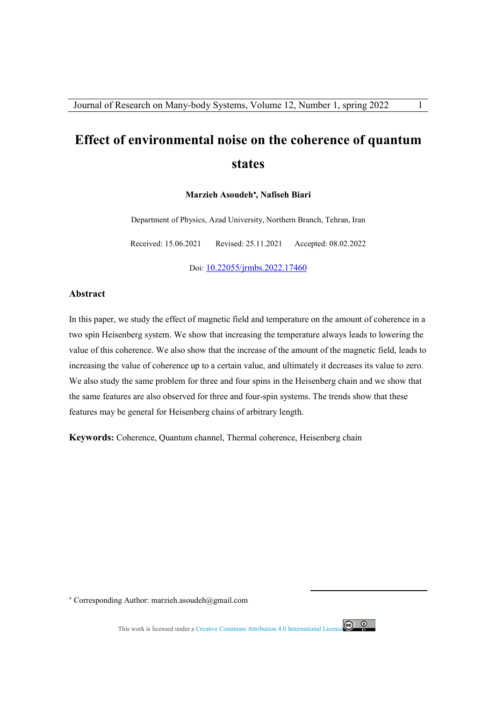# **Effect of environmental noise on the coherence of quantum states**

#### **Marzieh Asoudeh , Nafiseh Biari**

Department of Physics, Azad University, Northern Branch, Tehran, Iran

Received: 15.06.2021 Revised: 25.11.2021 Accepted: 08.02.2022

Doi: 10.22055/jrmbs.2022.17460

### **Abstract**

In this paper, we study the effect of magnetic field and temperature on the amount of coherence in a two spin Heisenberg system. We show that increasing the temperature always leads to lowering the value of this coherence. We also show that the increase of the amount of the magnetic field, leads to increasing the value of coherence up to a certain value, and ultimately it decreases its value to zero. We also study the same problem for three and four spins in the Heisenberg chain and we show that the same features are also observed for three and four-spin systems. The trends show that these features may be general for Heisenberg chains of arbitrary length.

**Keywords:** Coherence, Quantum channel, Thermal coherence, Heisenberg chain

Corresponding Author: marzieh.asoudeh@gmail.com

This work is licensed under a Creative Commons Attribution 4.0 International License

.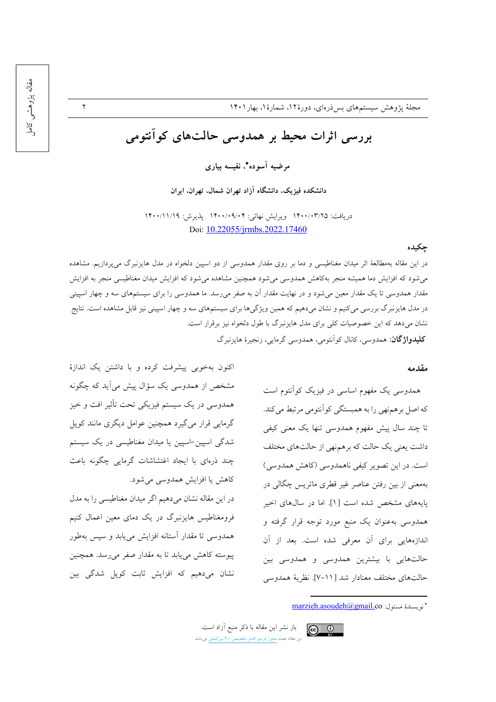$\mathbf{r}$ 

مجلهٔ پژوهش سیستمهای بس ذرهای، دورهٔ ۱۲، شمارهٔ ۱، بهار ۱۴۰۱

# بررسی اثرات محیط بر همدوسی حالتهای کوأنتومی

مرضيه آسوده\*، نفيسه بياري

دانشکده فیزیک، دانشگاه آزاد تهران شمال، تهران، ایران

دريافت: ١۴٠٠/٠٣/٢٥ ويرايش نهائي: ١۴٠٠/٠٩/٠٩ يذيرش: ١٢٠٠/١١/١٩ Doi: 10.22055/irmbs.2022.17460

### جكيده

در این مقاله بهمطالعهٔ اثر میدان مغناطیسی و دما بر روی مقدار همدوسی از دو اسپین دلخواه در مدل هایزنبرگ می پردازیم. مشاهده می شود که افزایش دما همیشه منجر بهکاهش همدوسی می شود همچنین مشاهده می شود که افزایش میدان مغناطیسی منجر به افزایش مقدار همدوسی تا یک مقدار معین میشود و در نهایت مقدار آن به صفر میرسد. ما همدوسی را برای سیستمهای سه و چهار اسپینی در مدل هایزنبرگ بررسی میکنیم و نشان میدهیم که همین ویژگیها برای سیستمهای سه و چهار اسپینی نیز قابل مشاهده است. نتایج نشان میدهد که این خصوصیات کلی برای مدل هایزنبرگ با طول دلخواه نیز برقرار است. **کلیدواژگان**: همدوسي، کانال کوأنتومي، همدوسي گرمايي، زنجيرهٔ هايزنبرگ

#### مقدمه

اکنون بهخوبی پیشرفت کرده و با داشتن یک اندازهٔ مشخص از همدوسی یک سؤال پیش میآید که چگونه همدوسی در یک سیستم فیزیکی تحت تأثیر افت و خیز گرمایی قرار میگیرد همچنین عوامل دیگری مانند کوپل شدگی اسپین-اسپین یا میدان مغناطیسی در یک سیستم چند ذرهای با ایجاد اغتشاشات گرمایی چگونه باعث کاهش یا افزایش همدوسی می شود.

در این مقاله نشان میدهیم اگر میدان مغناطیسی را به مدل فرومغناطیس هایزنبرگ در یک دمای معین اعمال کنیم همدوسی تا مقدار آستانه افزایش میbبابد و سپس بهطور پیوسته کاهش می یابد تا به مقدار صفر می رسد. همچنین نشان میدهیم که افزایش ثابت کوپل شدگی بین همدوسی یک مفهوم اساسی در فیزیک کو آنتوم است

که اصل برهم نهی را به همبستگی کواّنتومی مرتبط میکند.

تا چند سال پیش مفهوم همدوسی تنها یک معنی کیفی

داشت یعنی یک حالت که برهمنهی از حالتهای مختلف

است. در این تصویر کیفی ناهمدوسی (کاهش همدوسی)

بهمعنی از بین رفتن عناصر غیر قطری ماتریس چگالی در

پایههای مشخص شده است [۱]. اما در سالهای اخیر

همدوسی بهعنوان یک منبع مورد توجه قرار گرفته و

اندازههایی برای آن معرفی شده است. بعد از آن

حالتهايي با بيشترين همدوسي و همدوسي بين

marzieh.asoudeh@gmail.co فويسندة مسئول: 0



باز نشر این مقاله با ذکر منبع آزاد است. این مقاله تحت مجوز کریتیو کامنز تخصیص ۴٫۰ بینالمللی میباشد

حالتهاي مختلف معنادار شد [١١-٧]. نظرية همدوسي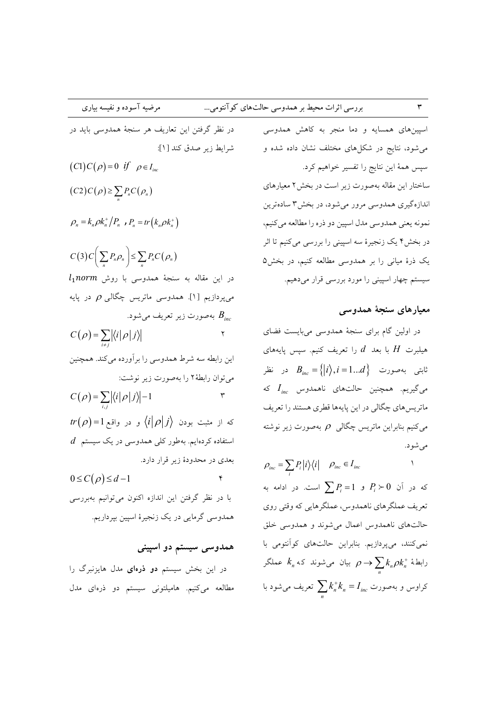بررسی اثرات محیط بر همدوسی حالتهای کوآنتومی...

در نظر گرفتن این تعاریف هر سنجهٔ همدوسی باید در شرايط زير صدق كند [1]:  $(C1)C(\rho)=0$  if  $\rho \in I_{inc}$  $(C2)C(\rho) \ge \sum P_n C(\rho_n)$  $\rho_n = k_n \rho k_n^{\dagger} / P_n$ ,  $P_n = tr(k_n \rho k_n^{\dagger})$  $C(3)C\left(\sum P_n\rho_n\right)\leq \sum P_nC(\rho_n)$  $l_1$ norm در این مقاله به سنجهٔ همدوسی با روش میپردازیم [۱]. همدوسی ماتریس چگالی  $\rho$  در پایه بهصورت زير تعريف مي شود.  $B_{inc}$  $C(\rho) = \sum_{i \in I} |\langle i | \rho | j \rangle|$  $\mathsf{Y}$ این رابطه سه شرط همدوسی را برآورده میکند. همچنین مي توان رابطهٔ ٢ را بهصورت زير نوشت:  $C(\rho) = \sum_i |\langle i | \rho | j \rangle| - 1$  $\mathbf{\breve{r}}$  $tr(\rho)$ =1 که از مثبت بودن  $\langle i|\rho|j\rangle$  و در واقع  $d$  استفاده کردهایم. بهطور کلی همدوسی در یک سیستم بعدي در محدودهٔ زير قرار دارد.  $0 \leq C(\rho) \leq d-1$ با در نظر گرفتن این اندازه اکنون میتوانیم بهبررسی همدوسي گرمايي در يک زنجيرهٔ اسپين بپرداريم. همدوسی سیستم دو اسپینی

مرضیه آسوده و نفیسه بیاری

در این بخش سیستم **دو ذرهای م**دل هایزنبرگ را مطالعه میکنیم. هامیلتونی سیستم دو ذرهای مدل

اسپینهای همسایه و دما منجر به کاهش همدوسی میشود، نتایج در شکلهای مختلف نشان داده شده و سپس همهٔ این نتایج را تفسیر خواهیم کرد. ساختار این مقاله بهصورت زیر است در بخش۲ معیارهای اندازهگیری همدوسی مرور میشود، در بخش۳ سادهترین نمونه يعني همدوسي مدل اسپين دو ذره را مطالعه مي كنيم، در بخش۴ یک زنجیرهٔ سه اسپینی را بررسی میکنیم تا اثر یک ذرهٔ میانی را بر همدوسی مطالعه کنیم، در بخش۵ سیستم چهار اسپینی را مورد بررسی قرار میدهیم.

## معيارهاي سنجهٔ همدوسي

در اولین گام برای سنجهٔ همدوسی میبایست فضای هیلبرت  $H$  با بعد  $d$  را تعریف کنیم. سپس پایههای ثابتی بهصورت  $B_{inc} = \{|i\rangle, i = 1...d\}$  در نظر میگیریم. همچنین حالتهای ناهمدوس  $I_{inc}$  که ماتریس های چگالی در این پایهها قطری هستند را تعریف میکنیم بنابراین ماتریس چگالی  $\rho$  بهصورت زیر نوشته مي شو د.

 $\rho_{\scriptscriptstyle inc} = \sum P_i \left| i \right\rangle\!\left\langle i \right| \quad \rho_{\scriptscriptstyle inc} \in I_{\scriptscriptstyle inc}$  $\sqrt{2}$ که در آن  $P_i \succ 0$  و  $P_i = \sum_i P_i = 1$  است. در ادامه به تعریف عملگرهاي ناهمدوس، عملگرهايي كه وقتي روي حالتهای ناهمدوس اعمال می شوند و همدوسی خلق نمیکنند، میپردازیم. بنابراین حالتهای کوآنتومی با رابطهٔ  $k_n \wedge k_n \rightarrow \sum k_n \rho k_n^+$  عملگر کراوس و بهصورت $I_{inc} = \sum k_n^+ k_n = I_{inc}$  تعریف می $\pm$ ود با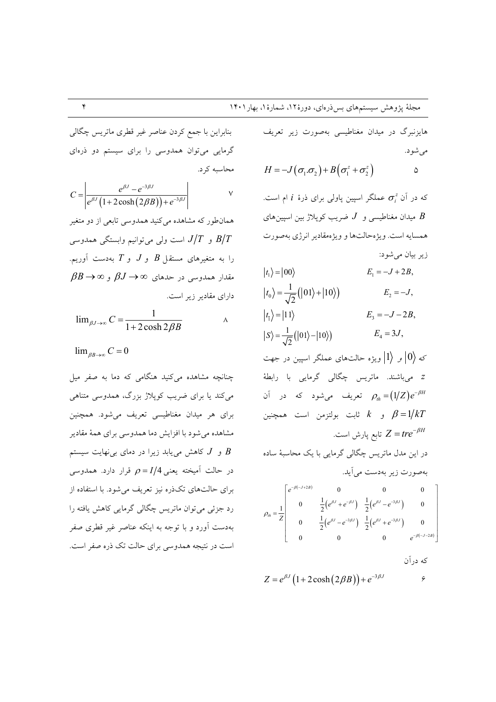بنابراين با جمع كردن عناصر غير قطري ماتريس چگالي گرمایی میتوان همدوسی را برای سیستم دو ذرهای محاسبه کړ د.

$$
C = \left| \frac{e^{\beta J} - e^{-3\beta J}}{e^{\beta J} \left(1 + 2\cosh\left(2\beta B\right)\right) + e^{-3\beta J}} \right| \qquad \qquad \vee
$$

همانطور که مشاهده میکنید همدوسی تابعی از دو متغیر و  $J/T$  است ولی میتوانیم وابستگی همدوسی  $\emph{J/T}$ را به متغیرهای مستقل  $B$  و  $J$  و  $T$  بهدست آوریم.  $\beta B \to \infty$  ,  $\beta J \to \infty$  مقدار همدوسی در حدهای  $\beta$ دارای مقادیر زیر است.

$$
\lim_{\beta J \to \infty} C = \frac{1}{1 + 2 \cosh 2\beta B} \qquad \qquad \wedge
$$

 $\lim_{\beta B\to\infty}C=0$ 

چنانچه مشاهده میکنید هنگامی که دما به صفر میل میکند یا برای ضریب کوپلاژ بزرگ، همدوسی متناهی برای هر میدان مغناطیسی تعریف می شود. همچنین مشاهده میشود با افزایش دما همدوسی برای همهٔ مقادیر و  $J$  کاهش می $\mu$ بابد زیرا در دمای بی $i$ هایت سیستم  $B$ در حالت اَمیخته یعنی $I/4 = \rho = I/4$  قرار دارد. همدوسی برای حالتهای تکذره نیز تعریف می شود. با استفاده از رد جزئی میتوان ماتریس چگالی گرمایی کاهش یافته را بهدست آورد و با توجه به اینکه عناصر غیر قطری صفر است در نتیجه همدوسی برای حالت تک ذره صفر است. هایزنبرگ در میدان مغناطیسی بهصورت زیر تعریف می شو د.

$$
H = -J(\sigma_1 \cdot \sigma_2) + B(\sigma_1^z + \sigma_2^z) \qquad \qquad \Delta
$$

که در آن  $\sigma_i^z$  عملگر اسپین یاولی برای ذرهٔ  $i$  ام است. میدان مغناطیسی و  $J$  ضریب کوپلاژ بین اسپینهای  $B$ همسایه است. ویژهحالتها و ویژهمقادیر انرژی بهصورت زير بيان مي شود:

 $|t_1\rangle = |00\rangle$  $E_1 = -J + 2B$ ,  $|t_0\rangle = \frac{1}{\sqrt{2}}(|01\rangle + |10\rangle)$  $E<sub>2</sub> = -J$ ,  $|t_{\overline{i}}\rangle=|11\rangle$  $E_1 = -J - 2B$ ,  $|S\rangle = \frac{1}{\sqrt{2}}(|01\rangle - |10\rangle)$  $E_4 = 3J,$ که  $\ket{0}$ و  $\ket{1}$  ویژه حالتهای عملگر اسپین در جهت z میباشند. ماتریس چگال<sub>ی</sub> گرمایی با رابطهٔ تعریف می شود که در آن  $\rho_{th} = (1/Z) e^{-\beta H}$ و  $k$  ثابت بولتزمن است همچنین  $\beta = 1/kT$ تابع پارش است.  $Z = t r e^{-\beta H}$ در این مدل ماتریس چگالی گرمایی با یک محاسبهٔ ساده بهصورت زیر بهدست می آید.

$$
\rho_{\hat{m}} = \frac{1}{Z} \begin{bmatrix} e^{-\beta(-J+2\hat{B})} & 0 & 0 & 0 \\ 0 & \frac{1}{2} (e^{\beta J} + e^{-\beta J}) & \frac{1}{2} (e^{\beta J} - e^{-3\beta J}) & 0 \\ 0 & \frac{1}{2} (e^{\beta J} - e^{-3\beta J}) & \frac{1}{2} (e^{\beta J} + e^{-3\beta J}) & 0 \\ 0 & 0 & 0 & e^{-\beta(-J-2\hat{B})} \end{bmatrix}
$$

$$
Z = e^{\beta J} (1 + 2 \cosh(2\beta B)) + e^{-3\beta J}
$$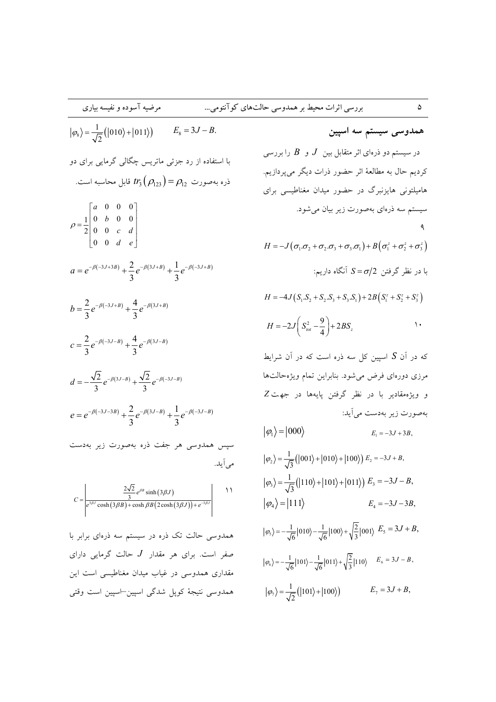صفر است. برای هر مقدار J حالت گرمایی دارای مقداری همدوسی در غیاب میدان مغناطیسی است این همدوسی نتیجهٔ کوپل شدگی اسپین–اسپین است وقتی

 $\left|\varphi_{\mbox{\scriptsize s}}\right\rangle = -\frac{1}{\sqrt{6}}\left|101\right\rangle - \frac{1}{\sqrt{6}}\left|011\right\rangle + \sqrt{\frac{2}{3}}\left|110\right\rangle \hspace{0.5cm} E_{\mbox{\scriptsize s}} = 3J - B \, , \label{eq:varphi_s}$  $|\varphi_{7}\rangle = \frac{1}{\sqrt{2}}(|101\rangle + |100\rangle)$   $E_{7} = 3J + B,$ 

 $\Delta$ 

 $\mathbf{\mathsf{q}}$ 

 $\Delta$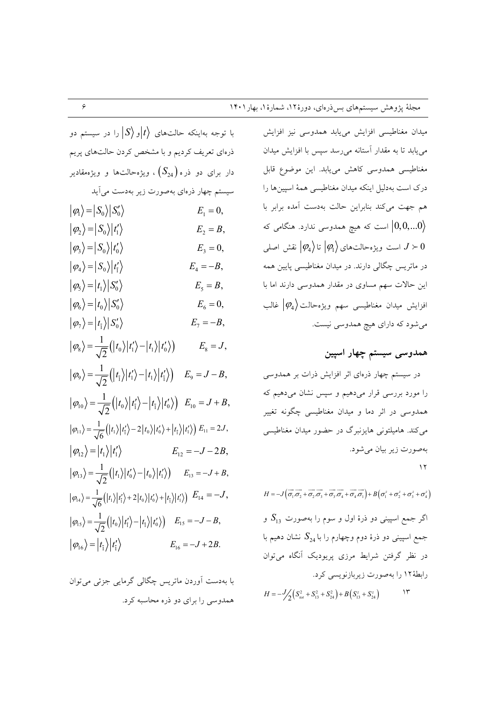با توجه بهاینکه حالتهای  $\ket{t}$ و  $|S\rangle$  را در سیستم دو .<br>ذرءای تعریف کردیم و با مشخص کردن حالتهای پریم دار برای دو ذره $(S_{24})$ ، ویژهحالتها و ویژهمقادیر سیستم چهار ذرهای بهصورت زیر بهدست می آید  $| \varphi_1 \rangle = | S_0 \rangle | S_0' \rangle$  $E_1 = 0,$  $|\varphi_2\rangle = |S_0\rangle |t_1\rangle$  $E_2 = B$ ,  $|\varphi_3\rangle = |S_0\rangle |t'_0\rangle$  $E_3 = 0$ ,  $|\varphi_4\rangle = |S_0\rangle |t'_1\rangle$  $E_4 = -B$ ,  $|\varphi_{5}\rangle = |t_{1}\rangle |S'_{0}\rangle$  $E_5 = B$ ,  $|\varphi_6\rangle = |t_0\rangle |S'_0\rangle$  $E_6 = 0,$  $|\varphi_7\rangle = |t_{\overline{1}}\rangle |S_0'\rangle$  $E_7 = -B$ ,  $|\varphi_8\rangle = \frac{1}{\sqrt{2}}(|t_0\rangle |t_1'\rangle - |t_1\rangle |t_0'\rangle)$  $E_{\rm s}=J$ ,  $|\varphi_9\rangle = \frac{1}{\sqrt{2}} (|t_{\hat{1}}\rangle |t_1'\rangle - |t_1\rangle |t_1'\rangle) \quad E_9 = J - B,$  $|\varphi_{10}\rangle = \frac{1}{\sqrt{2}}(|t_0\rangle |t_1'\rangle - |t_1\rangle |t_0'\rangle) E_{10} = J + B,$  $|\varphi_{11}\rangle = \frac{1}{\sqrt{6}} (|t_1\rangle |t_1\rangle - 2|t_0\rangle |t_0\rangle + |t_1\rangle |t_1\rangle) E_{11} = 2J,$  $|\varphi_{12}\rangle=|t_1\rangle|t_1'\rangle$  $E_{12} = -J - 2B$ ,  $|\varphi_{13}\rangle = \frac{1}{\sqrt{2}}(|t_1\rangle |t'_0\rangle - |t_0\rangle |t'_1\rangle)$   $E_{13} = -J + B,$  $|\varphi_{14}\rangle = \frac{1}{\sqrt{6}}(|t_1\rangle |t_1'\rangle + 2|t_0\rangle |t_0'\rangle + |t_1\rangle |t_1'\rangle) E_{14} = -J,$  $|\varphi_{15}\rangle = \frac{1}{\sqrt{2}}(|t_0\rangle |t'_1\rangle - |t_{\overline{1}}\rangle |t'_0\rangle) \quad E_{15} = -J-B,$  $|\varphi_{16}\rangle = |t_{\overline{1}}\rangle |t_{\overline{1}}\rangle$  $E_{16} = -J + 2B.$ 

با بەدست آوردن ماتریس چگالی گرمایی جزئی میتوان همدوسی را برای دو ذره محاسبه کرد.

میدان مغناطیسی افزایش مییابد همدوسی نیز افزایش می یابد تا به مقدار آستانه می رسد سپس با افزایش میدان مغناطیسی همدوسی کاهش می یابد. این موضوع قابل درک است بهدلیل اینکه میدان مغناطیسی همهٔ اسیینها را هم جهت میکند بنابراین حالت بهدست آمده برابر با است که هیچ همدوسی ندارد. هنگامی که  $\big|0,0,...0\big\rangle$ است ویژهحالتهای $\ket{\phi_4}$  تا $\ket{\varphi_4}$  نقش اصلی  $J\succ 0$ در ماتریس چگالی دارند. در میدان مغناطیسی پایین همه این حالات سهم مساوی در مقدار همدوسی دارند اما با افزايش ميدان مغناطيسي سهم ويژهحالت $|\varphi_{\scriptscriptstyle \rm A}\rangle$  غالب می شود که دارای هیچ همدوسی نیست.

## همدوسی سیستم چهار اسپین

در سیستم چهار ذرهای اثر افزایش ذرات بر همدوسی را مورد بررسی قرار میدهیم و سپس نشان میدهیم که همدوسی در اثر دما و میدان مغناطیسی چگونه تغییر می کند. هامیلتونی هایزنبرگ در حضور میدان مغناطیسی بهصورت زیر بیان مے شود.  $\gamma$ 

$$
H = -J(\overrightarrow{\sigma_1 \sigma_2} + \overrightarrow{\sigma_2 \sigma_3} + \overrightarrow{\sigma_3 \sigma_4} + \overrightarrow{\sigma_4 \sigma_1}) + B(\sigma_1^z + \sigma_2^z + \sigma_3^z + \sigma_4^z)
$$
  
\n
$$
S_{13} = S_{14} \quad S_{24} \quad S_{25} \quad S_{26} \quad S_{27} \quad S_{28} \quad S_{29} \quad S_{21} \quad S_{21} \quad S_{22} \quad S_{23} \quad S_{24} \quad S_{25} \quad S_{26} \quad S_{27} \quad S_{28} \quad S_{29} \quad S_{21} \quad S_{21} \quad S_{22} \quad S_{23} \quad S_{24} \quad S_{24} \quad S_{25} \quad S_{26} \quad S_{27} \quad S_{28} \quad S_{29} \quad S_{21} \quad S_{22} \quad S_{23} \quad S_{24} \quad S_{25} \quad S_{26} \quad S_{27} \quad S_{28} \quad S_{29} \quad S_{21} \quad S_{22} \quad S_{23} \quad S_{24} \quad S_{25} \quad S_{26} \quad S_{27} \quad S_{28} \quad S_{29} \quad S_{21} \quad S_{22} \quad S_{23} \quad S_{24} \quad S_{25} \quad S_{26} \quad S_{27} \quad S_{28} \quad S_{29} \quad S_{21} \quad S_{22} \quad S_{23} \quad S_{24} \quad S_{25} \quad S_{26} \quad S_{27} \quad S_{28} \quad S_{29} \quad S_{21} \quad S_{22} \quad S_{23} \quad S_{24} \quad S_{25} \quad S_{26} \quad S_{27} \quad S_{28} \quad S_{29} \quad S_{21} \quad S_{22} \quad S_{23} \quad S_{24} \quad S_{25} \quad S_{26} \quad S_{27} \quad S_{28} \quad S_{29} \quad S_{21} \quad S_{22} \quad S_{23} \quad S_{24} \quad S_{25} \quad S_{26} \quad S_{27} \quad S_{28} \quad S_{29} \quad S_{21} \quad S_{22} \quad S_{23} \
$$

 $\epsilon$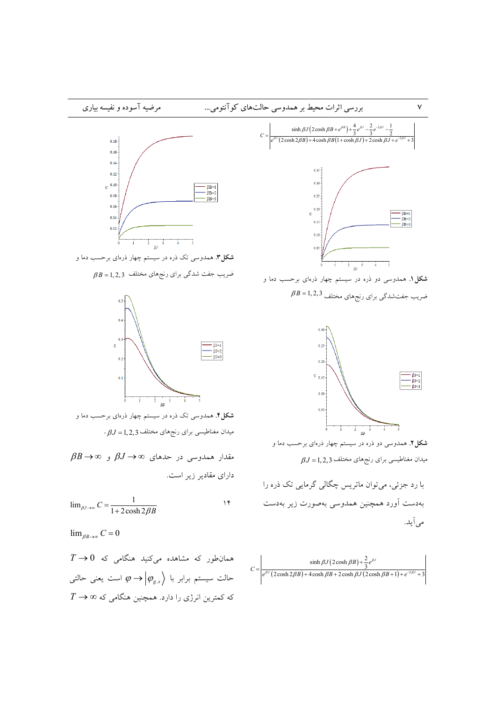

همانطور که مشاهده میکنید هنگامی که 0  
حالت سیستم برابر با 
$$
\varphi \rightarrow \varphi_{g.s}
$$
 برابر با  $\varphi \rightarrow \varphi_{g.s}$  برابر با دیه دیه دی $T \rightarrow \infty$ ه نیامی می

$$
C = \frac{\sinh \beta J (2 \cosh \beta B) + \frac{2}{3} e^{\beta J}}{e^{\beta J} (2 \cosh 2\beta B) + 4 \cosh \beta B + 2 \cosh \beta J (2 \cosh \beta B + 1) + e^{-2\beta J} + 3}
$$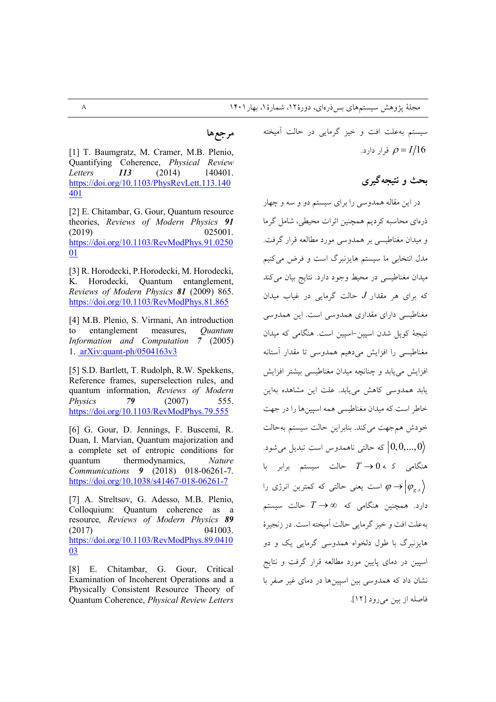[1] T. Baumgratz, M. Cramer, M.B. Plenio, Quantifying Coherence, Physical Review Letters 113  $(2014)$ 140401. https://doi.org/10.1103/PhysRevLett.113.140 401

مرجعها

[2] E. Chitambar, G. Gour, Quantum resource theories, Reviews of Modern Physics 91 025001.  $(2019)$ https://doi.org/10.1103/RevModPhys.91.0250  $01$ 

[3] R. Horodecki, P. Horodecki, M. Horodecki, Horodecki, Ouantum entanglement, K. Reviews of Modern Physics 81 (2009) 865. https://doi.org/10.1103/RevModPhys.81.865

[4] M.B. Plenio, S. Virmani, An introduction entanglement measures, Ouantum  $\mathsf{to}$ Information and Computation 7 (2005) 1.  $arXiv:quant-ph/0504163v3$ 

[5] S.D. Bartlett, T. Rudolph, R.W. Spekkens, Reference frames, superselection rules, and quantum information, Reviews of Modern Physics 79 555.  $(2007)$ https://doi.org/10.1103/RevModPhys.79.555

[6] G. Gour, D. Jennings, F. Buscemi, R. Duan, I. Marvian, Quantum majorization and a complete set of entropic conditions for quantum thermodynamics, Nature Communications 9 (2018) 018-06261-7. https://doi.org/10.1038/s41467-018-06261-7

[7] A. Streltsov, G. Adesso, M.B. Plenio, Colloquium: Quantum coherence as a resource, Reviews of Modern Physics 89  $(2017)$ 041003. https://doi.org/10.1103/RevModPhys.89.0410  $03$ 

[8] E. Chitambar, G. Gour, Critical Examination of Incoherent Operations and a Physically Consistent Resource Theory of Quantum Coherence, Physical Review Letters

سیستم بهعلت افت و خیز گرمایی در حالت آمیخته قرار دارد.  $\rho = I/16$ 

## بحث و نتيجه گېرې

در این مقاله همدوسی را برای سیستم دو و سه و چهار .<br>ذرءای محاسبه کردیم همچنین اثرات محیط<sub>ه ،</sub>، شامل گرما و میدان مغناطیسی بر همدوسی مورد مطالعه قرار گرفت. مدل انتخابی ما سیستم هایزنبرگ است و فرض می کنیم میدان مغناطیسی در محیط وجود دارد. نتایج بیان می کند که برای هر مقدار  $J$  حالت گرمایی در غیاب میدان مغناطیسی دارای مقداری همدوسی است. این همدوسی نتیجهٔ کوپل شدن اسپین-اسپین است. هنگامی که میدان مغناطیسی را افزایش میدهیم همدوسی تا مقدار آستانه افزایش می پابد و چنانچه میدان مغناطیسی بیشتر افزایش یابد همدوسی کاهش می یابد. علت این مشاهده بهاین خاطر است که میدان مغناطیسی همه اسپینها را در جهت خودش هم جهت مي كند. بنابراين حالت سيستم به حالت که حالتی ناهمدوس است تبدیل می شود.  $|0,0,...,0\rangle$ منگامی که $0 \leftrightarrow T \to 0$  حالت سیستم برابر با است یعنی حالتی که کمترین انرژی را  $\varphi \rightarrow |\varphi_{\circ}\rangle$ دارد. همچنین هنگامی که  $\sigma \to T \to T$  حالت سیستم بهعلت افت و خيز گرمايي حالت آميخته است. در زنجيرهٔ ھایزنبرگ با طول دلخواہ ہمدوسی گرمایی یک و دو اسپین در دمای پایین مورد مطالعه قرار گرفت و نتایج .<br>نشان داد که همدوسی بین اسپینها در دمای غیر صفر با فاصله از بين مي رود [١٢].